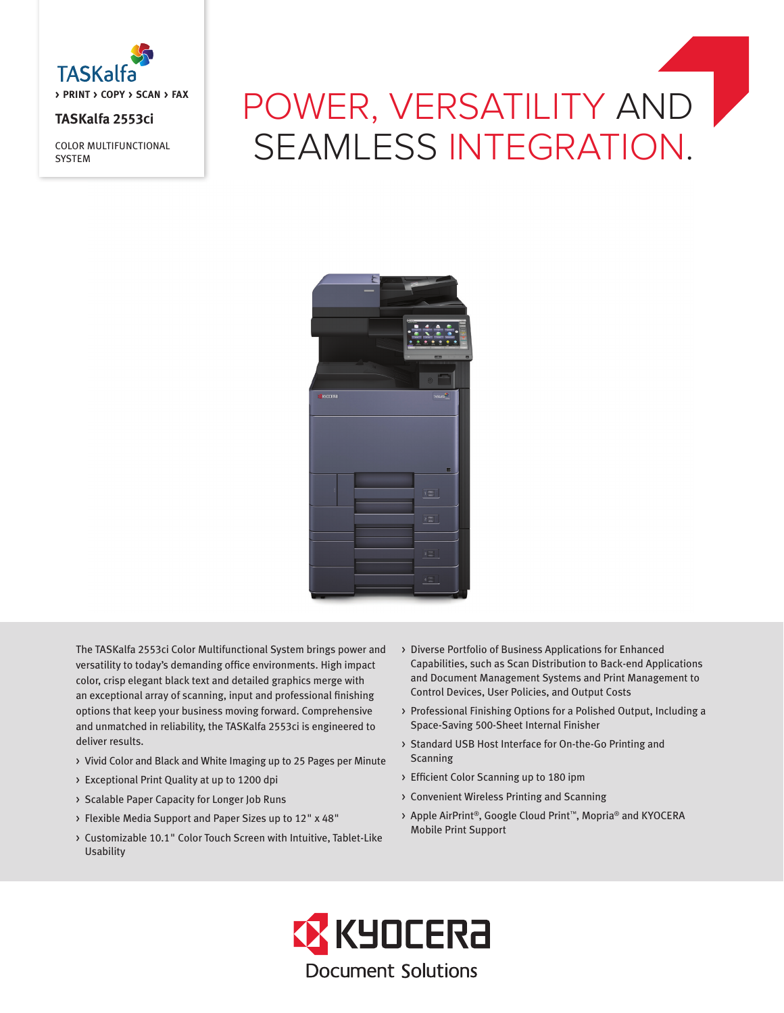

# **TASKalfa 2553ci**

COLOR MULTIFUNCTIONAL **SYSTEM** 

# POWER, VERSATILITY AND SEAMLESS INTEGRATION.



The TASKalfa 2553ci Color Multifunctional System brings power and versatility to today's demanding office environments. High impact color, crisp elegant black text and detailed graphics merge with an exceptional array of scanning, input and professional finishing options that keep your business moving forward. Comprehensive and unmatched in reliability, the TASKalfa 2553ci is engineered to deliver results.

- > Vivid Color and Black and White Imaging up to 25 Pages per Minute
- > Exceptional Print Quality at up to 1200 dpi
- > Scalable Paper Capacity for Longer Job Runs
- > Flexible Media Support and Paper Sizes up to 12" x 48"
- > Customizable 10.1" Color Touch Screen with Intuitive, Tablet-Like Usability
- > Diverse Portfolio of Business Applications for Enhanced Capabilities, such as Scan Distribution to Back-end Applications and Document Management Systems and Print Management to Control Devices, User Policies, and Output Costs
- > Professional Finishing Options for a Polished Output, Including a Space-Saving 500-Sheet Internal Finisher
- > Standard USB Host Interface for On-the-Go Printing and Scanning
- > Efficient Color Scanning up to 180 ipm
- > Convenient Wireless Printing and Scanning
- > Apple AirPrint®, Google Cloud Print™, Mopria® and KYOCERA Mobile Print Support